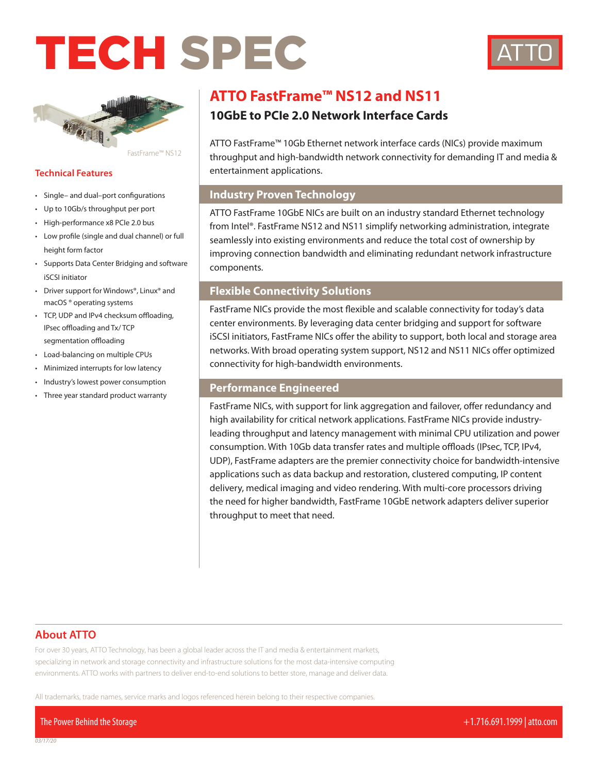# TECH SPEC





FastFrame™ NS12

#### **Technical Features**

- Single– and dual–port configurations
- Up to 10Gb/s throughput per port
- High-performance x8 PCIe 2.0 bus
- Low profile (single and dual channel) or full height form factor
- Supports Data Center Bridging and software iSCSI initiator
- Driver support for Windows®, Linux® and macOS ® operating systems
- TCP, UDP and IPv4 checksum offloading, IPsec offloading and Tx/ TCP segmentation offloading
- Load-balancing on multiple CPUs
- Minimized interrupts for low latency
- Industry's lowest power consumption
- Three year standard product warranty

# **ATTO FastFrame™ NS12 and NS11**

# **10GbE to PCIe 2.0 Network Interface Cards**

ATTO FastFrame™ 10Gb Ethernet network interface cards (NICs) provide maximum throughput and high-bandwidth network connectivity for demanding IT and media & entertainment applications.

# **Industry Proven Technology**

ATTO FastFrame 10GbE NICs are built on an industry standard Ethernet technology from Intel®. FastFrame NS12 and NS11 simplify networking administration, integrate seamlessly into existing environments and reduce the total cost of ownership by improving connection bandwidth and eliminating redundant network infrastructure components.

# **Flexible Connectivity Solutions**

FastFrame NICs provide the most flexible and scalable connectivity for today's data center environments. By leveraging data center bridging and support for software iSCSI initiators, FastFrame NICs offer the ability to support, both local and storage area networks. With broad operating system support, NS12 and NS11 NICs offer optimized connectivity for high-bandwidth environments.

## **Performance Engineered**

FastFrame NICs, with support for link aggregation and failover, offer redundancy and high availability for critical network applications. FastFrame NICs provide industryleading throughput and latency management with minimal CPU utilization and power consumption. With 10Gb data transfer rates and multiple offloads (IPsec, TCP, IPv4, UDP), FastFrame adapters are the premier connectivity choice for bandwidth-intensive applications such as data backup and restoration, clustered computing, IP content delivery, medical imaging and video rendering. With multi-core processors driving the need for higher bandwidth, FastFrame 10GbE network adapters deliver superior throughput to meet that need.

# **About ATTO**

For over 30 years, ATTO Technology, has been a global leader across the IT and media & entertainment markets, specializing in network and storage connectivity and infrastructure solutions for the most data-intensive computing environments. ATTO works with partners to deliver end-to-end solutions to better store, manage and deliver data.

All trademarks, trade names, service marks and logos referenced herein belong to their respective companies.

The Power Behind the Storage +1.716.691.1999 | atto.com